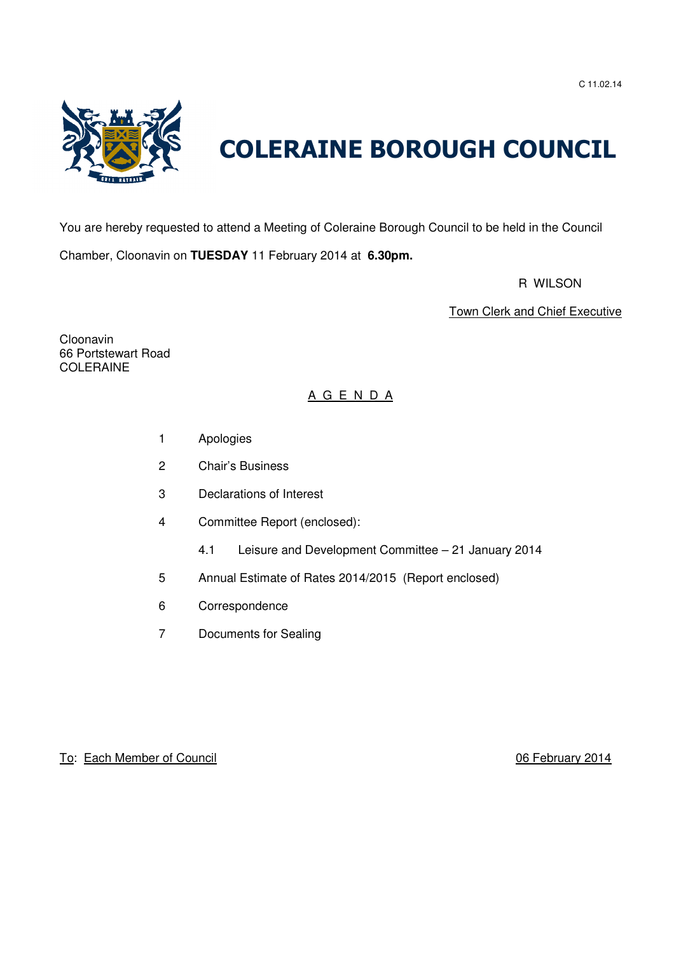C 11.02.14



# COLERAINE BOROUGH COUNCIL

You are hereby requested to attend a Meeting of Coleraine Borough Council to be held in the Council Chamber, Cloonavin on **TUESDAY** 11 February 2014 at **6.30pm.**

R WILSON

Town Clerk and Chief Executive

Cloonavin 66 Portstewart Road COLERAINE

# A G E N D A

- 1 Apologies
- 2 Chair's Business
- 3 Declarations of Interest
- 4 Committee Report (enclosed):
	- 4.1 Leisure and Development Committee 21 January 2014
- 5 Annual Estimate of Rates 2014/2015 (Report enclosed)
- 6 Correspondence
- 7 Documents for Sealing

To: Each Member of Council **1996** Council 2014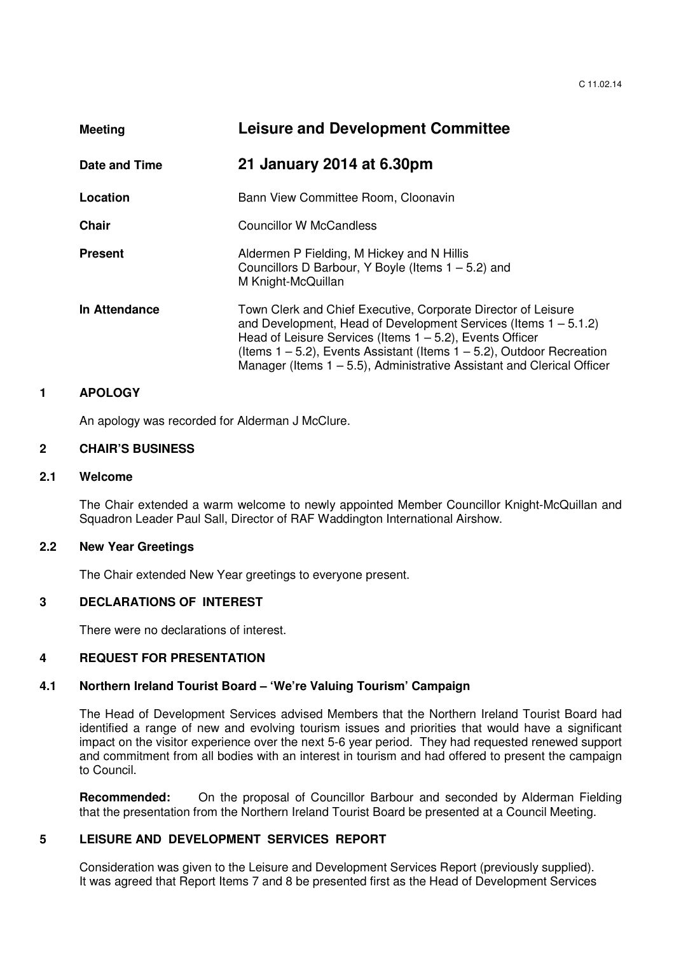| <b>Meeting</b> | <b>Leisure and Development Committee</b>                                                                                                                                                                                                                                                                                                                       |  |
|----------------|----------------------------------------------------------------------------------------------------------------------------------------------------------------------------------------------------------------------------------------------------------------------------------------------------------------------------------------------------------------|--|
| Date and Time  | 21 January 2014 at 6.30pm                                                                                                                                                                                                                                                                                                                                      |  |
| Location       | Bann View Committee Room, Cloonavin                                                                                                                                                                                                                                                                                                                            |  |
| <b>Chair</b>   | <b>Councillor W McCandless</b>                                                                                                                                                                                                                                                                                                                                 |  |
| <b>Present</b> | Aldermen P Fielding, M Hickey and N Hillis<br>Councillors D Barbour, Y Boyle (Items $1 - 5.2$ ) and<br>M Knight-McQuillan                                                                                                                                                                                                                                      |  |
| In Attendance  | Town Clerk and Chief Executive, Corporate Director of Leisure<br>and Development, Head of Development Services (Items $1 - 5.1.2$ )<br>Head of Leisure Services (Items $1 - 5.2$ ), Events Officer<br>(Items $1 - 5.2$ ), Events Assistant (Items $1 - 5.2$ ), Outdoor Recreation<br>Manager (Items $1 - 5.5$ ), Administrative Assistant and Clerical Officer |  |

# **1 APOLOGY**

An apology was recorded for Alderman J McClure.

#### **2 CHAIR'S BUSINESS**

#### **2.1 Welcome**

The Chair extended a warm welcome to newly appointed Member Councillor Knight-McQuillan and Squadron Leader Paul Sall, Director of RAF Waddington International Airshow.

# **2.2 New Year Greetings**

The Chair extended New Year greetings to everyone present.

# **3 DECLARATIONS OF INTEREST**

There were no declarations of interest.

#### **4 REQUEST FOR PRESENTATION**

#### **4.1 Northern Ireland Tourist Board – 'We're Valuing Tourism' Campaign**

 The Head of Development Services advised Members that the Northern Ireland Tourist Board had identified a range of new and evolving tourism issues and priorities that would have a significant impact on the visitor experience over the next 5-6 year period. They had requested renewed support and commitment from all bodies with an interest in tourism and had offered to present the campaign to Council.

**Recommended:** On the proposal of Councillor Barbour and seconded by Alderman Fielding that the presentation from the Northern Ireland Tourist Board be presented at a Council Meeting.

# **5 LEISURE AND DEVELOPMENT SERVICES REPORT**

 Consideration was given to the Leisure and Development Services Report (previously supplied). It was agreed that Report Items 7 and 8 be presented first as the Head of Development Services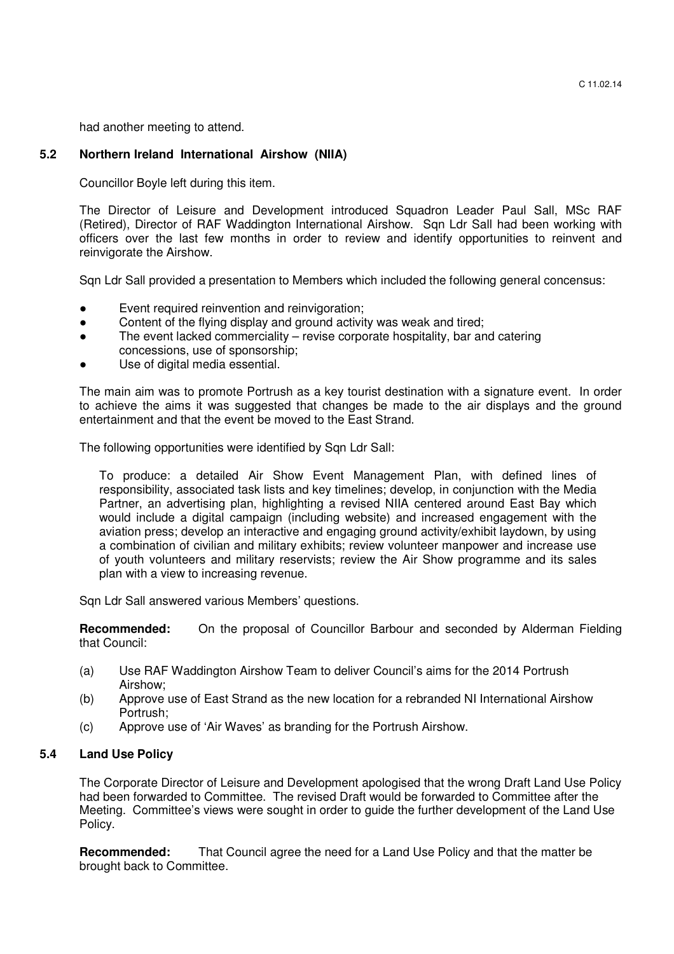had another meeting to attend.

#### **5.2 Northern Ireland International Airshow (NIIA)**

Councillor Boyle left during this item.

The Director of Leisure and Development introduced Squadron Leader Paul Sall, MSc RAF (Retired), Director of RAF Waddington International Airshow. Sqn Ldr Sall had been working with officers over the last few months in order to review and identify opportunities to reinvent and reinvigorate the Airshow.

Sqn Ldr Sall provided a presentation to Members which included the following general concensus:

- Event required reinvention and reinvigoration:
- Content of the flying display and ground activity was weak and tired;
- The event lacked commerciality revise corporate hospitality, bar and catering concessions, use of sponsorship;
- Use of digital media essential.

 The main aim was to promote Portrush as a key tourist destination with a signature event. In order to achieve the aims it was suggested that changes be made to the air displays and the ground entertainment and that the event be moved to the East Strand.

The following opportunities were identified by Sqn Ldr Sall:

To produce: a detailed Air Show Event Management Plan, with defined lines of responsibility, associated task lists and key timelines; develop, in conjunction with the Media Partner, an advertising plan, highlighting a revised NIIA centered around East Bay which would include a digital campaign (including website) and increased engagement with the aviation press; develop an interactive and engaging ground activity/exhibit laydown, by using a combination of civilian and military exhibits; review volunteer manpower and increase use of youth volunteers and military reservists; review the Air Show programme and its sales plan with a view to increasing revenue.

Sqn Ldr Sall answered various Members' questions.

**Recommended:** On the proposal of Councillor Barbour and seconded by Alderman Fielding that Council:

- (a) Use RAF Waddington Airshow Team to deliver Council's aims for the 2014 Portrush Airshow;
- (b) Approve use of East Strand as the new location for a rebranded NI International Airshow Portrush;
- (c) Approve use of 'Air Waves' as branding for the Portrush Airshow.

#### **5.4 Land Use Policy**

The Corporate Director of Leisure and Development apologised that the wrong Draft Land Use Policy had been forwarded to Committee. The revised Draft would be forwarded to Committee after the Meeting. Committee's views were sought in order to guide the further development of the Land Use Policy.

**Recommended:** That Council agree the need for a Land Use Policy and that the matter be brought back to Committee.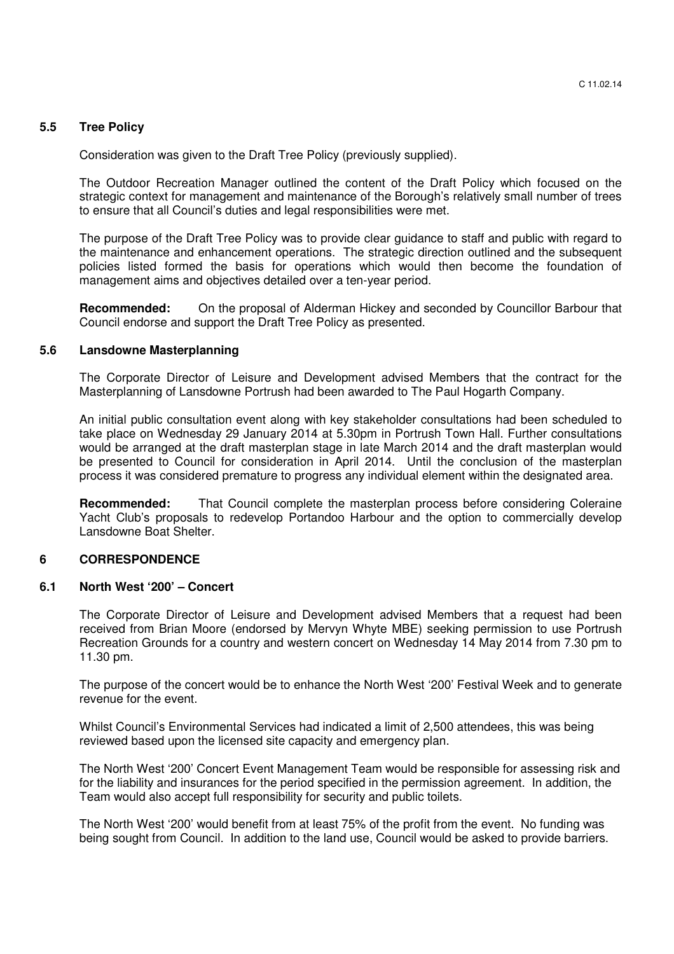#### **5.5 Tree Policy**

Consideration was given to the Draft Tree Policy (previously supplied).

 The Outdoor Recreation Manager outlined the content of the Draft Policy which focused on the strategic context for management and maintenance of the Borough's relatively small number of trees to ensure that all Council's duties and legal responsibilities were met.

 The purpose of the Draft Tree Policy was to provide clear guidance to staff and public with regard to the maintenance and enhancement operations. The strategic direction outlined and the subsequent policies listed formed the basis for operations which would then become the foundation of management aims and objectives detailed over a ten-year period.

**Recommended:** On the proposal of Alderman Hickey and seconded by Councillor Barbour that Council endorse and support the Draft Tree Policy as presented.

#### **5.6 Lansdowne Masterplanning**

 The Corporate Director of Leisure and Development advised Members that the contract for the Masterplanning of Lansdowne Portrush had been awarded to The Paul Hogarth Company.

 An initial public consultation event along with key stakeholder consultations had been scheduled to take place on Wednesday 29 January 2014 at 5.30pm in Portrush Town Hall. Further consultations would be arranged at the draft masterplan stage in late March 2014 and the draft masterplan would be presented to Council for consideration in April 2014. Until the conclusion of the masterplan process it was considered premature to progress any individual element within the designated area.

**Recommended:** That Council complete the masterplan process before considering Coleraine Yacht Club's proposals to redevelop Portandoo Harbour and the option to commercially develop Lansdowne Boat Shelter.

#### **6 CORRESPONDENCE**

#### **6.1 North West '200' – Concert**

The Corporate Director of Leisure and Development advised Members that a request had been received from Brian Moore (endorsed by Mervyn Whyte MBE) seeking permission to use Portrush Recreation Grounds for a country and western concert on Wednesday 14 May 2014 from 7.30 pm to 11.30 pm.

The purpose of the concert would be to enhance the North West '200' Festival Week and to generate revenue for the event.

Whilst Council's Environmental Services had indicated a limit of 2,500 attendees, this was being reviewed based upon the licensed site capacity and emergency plan.

The North West '200' Concert Event Management Team would be responsible for assessing risk and for the liability and insurances for the period specified in the permission agreement. In addition, the Team would also accept full responsibility for security and public toilets.

The North West '200' would benefit from at least 75% of the profit from the event. No funding was being sought from Council. In addition to the land use, Council would be asked to provide barriers.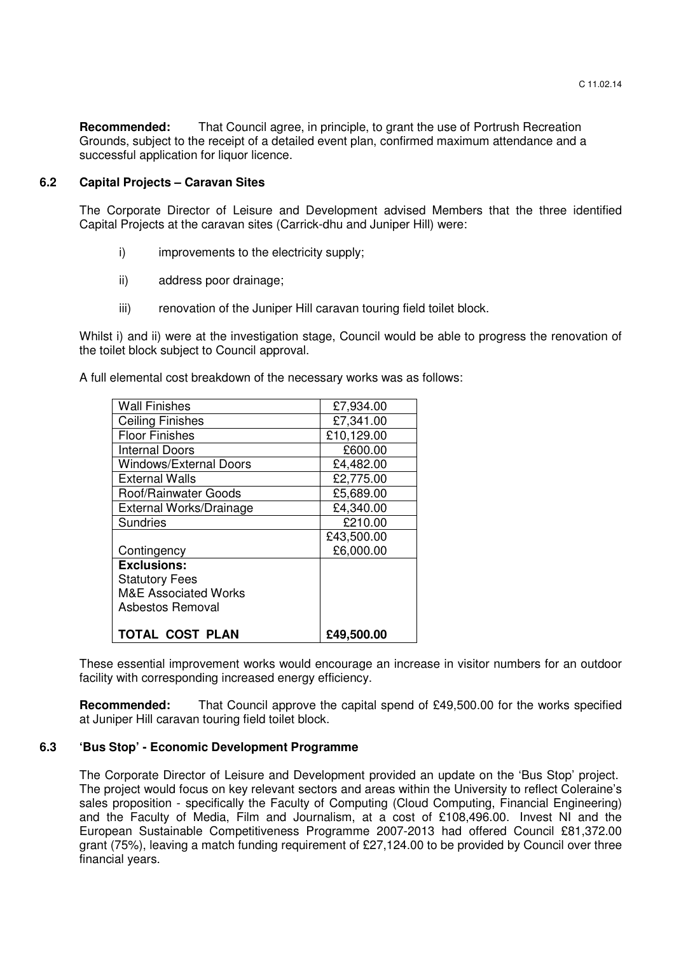**Recommended:** That Council agree, in principle, to grant the use of Portrush Recreation Grounds, subject to the receipt of a detailed event plan, confirmed maximum attendance and a successful application for liquor licence.

# **6.2 Capital Projects – Caravan Sites**

The Corporate Director of Leisure and Development advised Members that the three identified Capital Projects at the caravan sites (Carrick-dhu and Juniper Hill) were:

- i) improvements to the electricity supply;
- ii) address poor drainage;
- iii) renovation of the Juniper Hill caravan touring field toilet block.

 Whilst i) and ii) were at the investigation stage, Council would be able to progress the renovation of the toilet block subject to Council approval.

A full elemental cost breakdown of the necessary works was as follows:

| <b>Wall Finishes</b>            | £7,934.00  |  |
|---------------------------------|------------|--|
| <b>Ceiling Finishes</b>         | £7,341.00  |  |
| <b>Floor Finishes</b>           | £10,129.00 |  |
| Internal Doors                  | £600.00    |  |
| <b>Windows/External Doors</b>   | £4,482.00  |  |
| <b>External Walls</b>           | £2,775.00  |  |
| Roof/Rainwater Goods            | £5,689.00  |  |
| External Works/Drainage         | £4,340.00  |  |
| <b>Sundries</b>                 | £210.00    |  |
|                                 | £43,500.00 |  |
| Contingency                     | £6,000.00  |  |
| <b>Exclusions:</b>              |            |  |
| <b>Statutory Fees</b>           |            |  |
| <b>M&amp;E Associated Works</b> |            |  |
| <b>Asbestos Removal</b>         |            |  |
| <b>TOTAL COST PLAN</b>          | £49,500.00 |  |

These essential improvement works would encourage an increase in visitor numbers for an outdoor facility with corresponding increased energy efficiency.

**Recommended:** That Council approve the capital spend of £49,500.00 for the works specified at Juniper Hill caravan touring field toilet block.

#### **6.3 'Bus Stop' - Economic Development Programme**

The Corporate Director of Leisure and Development provided an update on the 'Bus Stop' project. The project would focus on key relevant sectors and areas within the University to reflect Coleraine's sales proposition - specifically the Faculty of Computing (Cloud Computing, Financial Engineering) and the Faculty of Media, Film and Journalism, at a cost of £108,496.00. Invest NI and the European Sustainable Competitiveness Programme 2007-2013 had offered Council £81,372.00 grant (75%), leaving a match funding requirement of £27,124.00 to be provided by Council over three financial years.